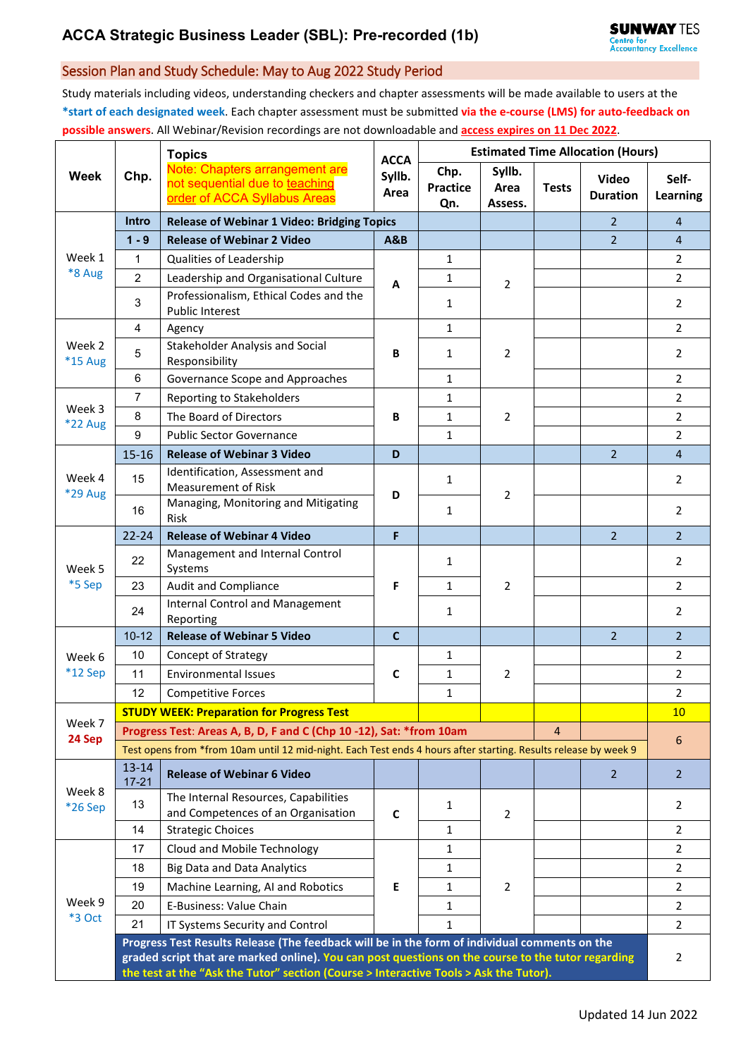## Session Plan and Study Schedule: May to Aug 2022 Study Period

Study materials including videos, understanding checkers and chapter assessments will be made available to users at the **\*start of each designated week**. Each chapter assessment must be submitted **via the e-course (LMS) for auto-feedback on possible answers**. All Webinar/Revision recordings are not downloadable and **access expires on 11 Dec 2022**.

|                   | Chp.                                                                                                                                                                                                                                                                                         | <b>Topics</b><br>Note: Chapters arrangement are<br>not sequential due to teaching<br>order of ACCA Syllabus Areas | <b>ACCA</b><br>Syllb.<br>Area | <b>Estimated Time Allocation (Hours)</b> |                           |              |                                 |                   |  |
|-------------------|----------------------------------------------------------------------------------------------------------------------------------------------------------------------------------------------------------------------------------------------------------------------------------------------|-------------------------------------------------------------------------------------------------------------------|-------------------------------|------------------------------------------|---------------------------|--------------|---------------------------------|-------------------|--|
| <b>Week</b>       |                                                                                                                                                                                                                                                                                              |                                                                                                                   |                               | Chp.<br><b>Practice</b><br>Qn.           | Syllb.<br>Area<br>Assess. | <b>Tests</b> | <b>Video</b><br><b>Duration</b> | Self-<br>Learning |  |
|                   | Intro                                                                                                                                                                                                                                                                                        | <b>Release of Webinar 1 Video: Bridging Topics</b>                                                                |                               |                                          |                           |              | $\overline{2}$                  | $\overline{4}$    |  |
| Week 1<br>*8 Aug  | $1 - 9$                                                                                                                                                                                                                                                                                      | <b>Release of Webinar 2 Video</b>                                                                                 | <b>A&amp;B</b>                |                                          |                           |              | $2^{\circ}$                     | $\overline{4}$    |  |
|                   | $\mathbf{1}$                                                                                                                                                                                                                                                                                 | Qualities of Leadership                                                                                           | A                             | $\mathbf{1}$                             | $\overline{2}$            |              |                                 | $\overline{2}$    |  |
|                   | $\overline{2}$                                                                                                                                                                                                                                                                               | Leadership and Organisational Culture                                                                             |                               | $\mathbf{1}$                             |                           |              |                                 | $\overline{a}$    |  |
|                   | 3                                                                                                                                                                                                                                                                                            | Professionalism, Ethical Codes and the<br><b>Public Interest</b>                                                  |                               | $\mathbf{1}$                             |                           |              |                                 | 2                 |  |
| Week 2<br>*15 Aug | $\overline{4}$                                                                                                                                                                                                                                                                               | Agency                                                                                                            | B                             | $\mathbf{1}$                             |                           |              |                                 | $\overline{2}$    |  |
|                   | 5                                                                                                                                                                                                                                                                                            | Stakeholder Analysis and Social<br>Responsibility                                                                 |                               | $\mathbf{1}$                             | 2                         |              |                                 | 2                 |  |
|                   | 6                                                                                                                                                                                                                                                                                            | Governance Scope and Approaches                                                                                   |                               | $\mathbf{1}$                             |                           |              |                                 | $\overline{2}$    |  |
|                   | $\overline{7}$                                                                                                                                                                                                                                                                               | Reporting to Stakeholders                                                                                         | B                             | $\mathbf{1}$                             | $\overline{2}$            |              |                                 | $\overline{2}$    |  |
| Week 3<br>*22 Aug | $\,8\,$                                                                                                                                                                                                                                                                                      | The Board of Directors                                                                                            |                               | $\mathbf{1}$                             |                           |              |                                 | $\overline{2}$    |  |
|                   | 9                                                                                                                                                                                                                                                                                            | <b>Public Sector Governance</b>                                                                                   |                               | $\mathbf{1}$                             |                           |              |                                 | $\overline{2}$    |  |
|                   | $15 - 16$                                                                                                                                                                                                                                                                                    | <b>Release of Webinar 3 Video</b>                                                                                 | D                             |                                          |                           |              | $\overline{2}$                  | $\overline{4}$    |  |
| Week 4<br>*29 Aug | 15                                                                                                                                                                                                                                                                                           | Identification, Assessment and<br><b>Measurement of Risk</b>                                                      | D                             | $\mathbf{1}$                             | $\overline{2}$            |              |                                 | $\overline{2}$    |  |
|                   | 16                                                                                                                                                                                                                                                                                           | Managing, Monitoring and Mitigating<br><b>Risk</b>                                                                |                               | $\mathbf{1}$                             |                           |              |                                 | $\overline{2}$    |  |
| Week 5<br>*5 Sep  | $22 - 24$                                                                                                                                                                                                                                                                                    | <b>Release of Webinar 4 Video</b>                                                                                 | F                             |                                          |                           |              | $\overline{2}$                  | $\overline{2}$    |  |
|                   | 22                                                                                                                                                                                                                                                                                           | Management and Internal Control<br>Systems                                                                        |                               | $\mathbf{1}$                             | $\overline{2}$            |              |                                 | 2                 |  |
|                   | 23                                                                                                                                                                                                                                                                                           | <b>Audit and Compliance</b>                                                                                       | F                             | $\mathbf{1}$                             |                           |              |                                 | $\overline{2}$    |  |
|                   | 24                                                                                                                                                                                                                                                                                           | <b>Internal Control and Management</b><br>Reporting                                                               |                               | $\mathbf{1}$                             |                           |              |                                 | $\overline{2}$    |  |
|                   | $10 - 12$                                                                                                                                                                                                                                                                                    | <b>Release of Webinar 5 Video</b>                                                                                 | $\mathbf{C}$                  |                                          |                           |              | $\overline{2}$                  | $\overline{2}$    |  |
| Week 6            | 10                                                                                                                                                                                                                                                                                           | <b>Concept of Strategy</b>                                                                                        | C                             | 1                                        | 2                         |              |                                 | 2                 |  |
| $*12$ Sep         | 11                                                                                                                                                                                                                                                                                           | <b>Environmental Issues</b>                                                                                       |                               | $\mathbf{1}$                             |                           |              |                                 | 2                 |  |
|                   | 12                                                                                                                                                                                                                                                                                           | <b>Competitive Forces</b>                                                                                         |                               | $\mathbf{1}$                             |                           |              |                                 | $\overline{2}$    |  |
| Week 7            |                                                                                                                                                                                                                                                                                              | <b>STUDY WEEK: Preparation for Progress Test</b>                                                                  |                               |                                          |                           |              |                                 | 10 <sup>°</sup>   |  |
| 24 Sep            |                                                                                                                                                                                                                                                                                              | Progress Test: Areas A, B, D, F and C (Chp 10-12), Sat: *from 10am                                                |                               |                                          |                           | 4            |                                 | 6                 |  |
|                   | Test opens from *from 10am until 12 mid-night. Each Test ends 4 hours after starting. Results release by week 9                                                                                                                                                                              |                                                                                                                   |                               |                                          |                           |              |                                 |                   |  |
| Week 8<br>*26 Sep | $13 - 14$<br>$17 - 21$                                                                                                                                                                                                                                                                       | <b>Release of Webinar 6 Video</b>                                                                                 |                               |                                          |                           |              | $\overline{2}$                  | $\overline{2}$    |  |
|                   | 13                                                                                                                                                                                                                                                                                           | The Internal Resources, Capabilities<br>and Competences of an Organisation                                        | $\mathbf c$                   | $\mathbf{1}$                             | $\overline{2}$            |              |                                 | 2                 |  |
|                   | 14                                                                                                                                                                                                                                                                                           | <b>Strategic Choices</b>                                                                                          |                               | $\mathbf{1}$                             |                           |              |                                 | 2                 |  |
| Week 9<br>*3 Oct  | 17                                                                                                                                                                                                                                                                                           | Cloud and Mobile Technology                                                                                       | Е                             | $\mathbf{1}$                             |                           |              |                                 | 2                 |  |
|                   | 18                                                                                                                                                                                                                                                                                           | <b>Big Data and Data Analytics</b>                                                                                |                               | 1                                        | $\overline{2}$            |              |                                 | 2                 |  |
|                   | 19                                                                                                                                                                                                                                                                                           | Machine Learning, AI and Robotics                                                                                 |                               | 1                                        |                           |              |                                 | 2                 |  |
|                   | 20                                                                                                                                                                                                                                                                                           | E-Business: Value Chain                                                                                           |                               | 1                                        |                           |              |                                 | $\overline{2}$    |  |
|                   | 21                                                                                                                                                                                                                                                                                           | IT Systems Security and Control                                                                                   |                               | $\mathbf{1}$                             |                           |              |                                 | $\overline{2}$    |  |
|                   | Progress Test Results Release (The feedback will be in the form of individual comments on the<br>graded script that are marked online). You can post questions on the course to the tutor regarding<br>the test at the "Ask the Tutor" section (Course > Interactive Tools > Ask the Tutor). |                                                                                                                   |                               |                                          |                           |              |                                 |                   |  |